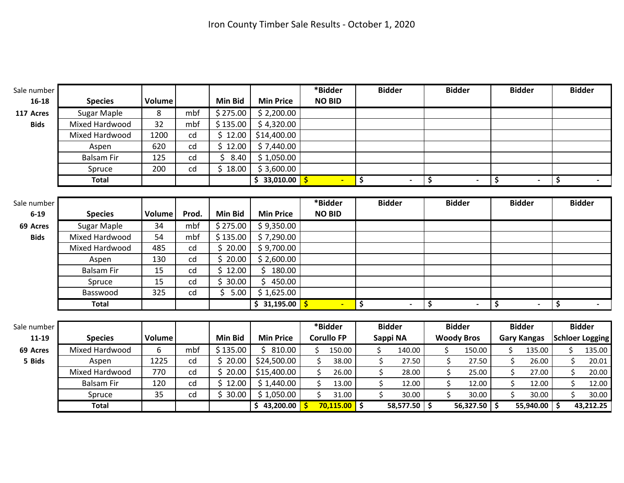| <b>Species</b><br>Sugar Maple<br>Mixed Hardwood<br>Mixed Hardwood<br>Aspen<br><b>Balsam Fir</b><br>Spruce<br><b>Total</b><br><b>Species</b> | Volume<br>8<br>32<br>1200<br>620<br>125<br>200 | mbf<br>mbf<br>cd<br>cd<br>cd<br>cd | <b>Min Bid</b><br>\$275.00<br>\$135.00<br>\$12.00<br>\$12.00<br>Ś.<br>8.40<br>\$18.00 | <b>Min Price</b><br>\$2,200.00<br>\$4,320.00<br>\$14,400.00<br>\$7,440.00<br>\$1,050.00<br>\$3,600.00<br>\$33,010.00 | <b>NO BID</b> | $\blacksquare$ | \$                                                      |                |                |                                                                         |                |                                    |                |                                                  |                        |
|---------------------------------------------------------------------------------------------------------------------------------------------|------------------------------------------------|------------------------------------|---------------------------------------------------------------------------------------|----------------------------------------------------------------------------------------------------------------------|---------------|----------------|---------------------------------------------------------|----------------|----------------|-------------------------------------------------------------------------|----------------|------------------------------------|----------------|--------------------------------------------------|------------------------|
|                                                                                                                                             |                                                |                                    |                                                                                       |                                                                                                                      |               |                |                                                         |                |                |                                                                         |                |                                    |                |                                                  |                        |
|                                                                                                                                             |                                                |                                    |                                                                                       |                                                                                                                      |               |                |                                                         |                |                |                                                                         |                |                                    |                |                                                  |                        |
|                                                                                                                                             |                                                |                                    |                                                                                       |                                                                                                                      |               |                |                                                         |                |                |                                                                         |                |                                    |                |                                                  |                        |
|                                                                                                                                             |                                                |                                    |                                                                                       |                                                                                                                      |               |                |                                                         |                |                |                                                                         |                |                                    |                |                                                  |                        |
|                                                                                                                                             |                                                |                                    |                                                                                       |                                                                                                                      |               |                |                                                         |                |                |                                                                         |                |                                    |                |                                                  |                        |
|                                                                                                                                             |                                                |                                    |                                                                                       |                                                                                                                      |               |                |                                                         |                |                |                                                                         |                |                                    |                |                                                  |                        |
|                                                                                                                                             |                                                |                                    |                                                                                       |                                                                                                                      |               |                |                                                         |                |                |                                                                         |                |                                    |                |                                                  |                        |
|                                                                                                                                             |                                                |                                    |                                                                                       |                                                                                                                      |               |                |                                                         |                |                | \$                                                                      |                | \$                                 |                | \$                                               |                        |
|                                                                                                                                             |                                                |                                    |                                                                                       |                                                                                                                      |               |                |                                                         |                |                |                                                                         |                |                                    |                |                                                  |                        |
|                                                                                                                                             |                                                |                                    |                                                                                       |                                                                                                                      | *Bidder       |                |                                                         | <b>Bidder</b>  |                |                                                                         | <b>Bidder</b>  |                                    | <b>Bidder</b>  |                                                  | <b>Bidder</b>          |
|                                                                                                                                             |                                                | Prod.                              | <b>Min Bid</b>                                                                        | <b>Min Price</b>                                                                                                     |               |                |                                                         |                |                |                                                                         |                |                                    |                |                                                  |                        |
|                                                                                                                                             | 34                                             | mbf                                | \$275.00                                                                              | \$9,350.00                                                                                                           |               |                |                                                         |                |                |                                                                         |                |                                    |                |                                                  |                        |
| Mixed Hardwood                                                                                                                              | 54                                             | mbf                                | \$135.00                                                                              | \$7,290.00                                                                                                           |               |                |                                                         |                |                |                                                                         |                |                                    |                |                                                  |                        |
| Mixed Hardwood                                                                                                                              | 485                                            | cd                                 | \$20.00                                                                               | \$9,700.00                                                                                                           |               |                |                                                         |                |                |                                                                         |                |                                    |                |                                                  |                        |
| Aspen                                                                                                                                       | 130                                            | cd                                 | Ś.<br>20.00                                                                           | \$2,600.00                                                                                                           |               |                |                                                         |                |                |                                                                         |                |                                    |                |                                                  |                        |
| <b>Balsam Fir</b>                                                                                                                           | 15                                             | cd                                 | Ś<br>12.00                                                                            | \$<br>180.00                                                                                                         |               |                |                                                         |                |                |                                                                         |                |                                    |                |                                                  |                        |
| Spruce                                                                                                                                      | 15                                             | cd                                 | 30.00<br>Ś.                                                                           | \$<br>450.00                                                                                                         |               |                |                                                         |                |                |                                                                         |                |                                    |                |                                                  |                        |
| Basswood                                                                                                                                    | 325                                            | cd                                 | 5.00<br>Ś.                                                                            | \$1,625.00                                                                                                           |               |                |                                                         |                |                |                                                                         |                |                                    |                |                                                  |                        |
| <b>Total</b>                                                                                                                                |                                                |                                    |                                                                                       |                                                                                                                      |               | $\blacksquare$ | \$                                                      |                | $\blacksquare$ | \$                                                                      | $\blacksquare$ | \$                                 | $\blacksquare$ | \$                                               |                        |
|                                                                                                                                             |                                                |                                    |                                                                                       |                                                                                                                      |               |                |                                                         |                |                |                                                                         |                |                                    |                |                                                  |                        |
|                                                                                                                                             |                                                |                                    |                                                                                       |                                                                                                                      |               |                |                                                         |                |                |                                                                         |                |                                    |                |                                                  | <b>Bidder</b>          |
| <b>Species</b>                                                                                                                              | Volume                                         |                                    | <b>Min Bid</b>                                                                        | <b>Min Price</b>                                                                                                     |               |                |                                                         |                |                |                                                                         |                |                                    |                |                                                  | <b>Schloer Logging</b> |
| Mixed Hardwood                                                                                                                              | 6                                              | mbf                                | \$135.00                                                                              | \$810.00                                                                                                             | \$            |                |                                                         | \$             |                | \$                                                                      | 150.00         | \$                                 | 135.00         | Ś.                                               | 135.00                 |
| Aspen                                                                                                                                       | 1225                                           | cd                                 | \$20.00                                                                               | \$24,500.00                                                                                                          | \$            | 38.00          |                                                         | \$             |                | \$                                                                      | 27.50          | \$                                 | 26.00          | \$                                               | 20.01                  |
| <b>Mixed Hardwood</b>                                                                                                                       | 770                                            | cd                                 | Ś.<br>20.00                                                                           | \$15,400.00                                                                                                          | \$            | 26.00          |                                                         | \$             |                | \$                                                                      | 25.00          | \$                                 | 27.00          | \$                                               | 20.00                  |
| <b>Balsam Fir</b>                                                                                                                           | 120                                            | cd                                 | \$12.00                                                                               | \$1,440.00                                                                                                           | \$            | 13.00          |                                                         | \$             |                | \$                                                                      | 12.00          | \$                                 | 12.00          | $\zeta$                                          | 12.00                  |
| Spruce                                                                                                                                      | 35                                             | cd                                 | \$30.00                                                                               | \$1,050.00                                                                                                           | \$            | 31.00          |                                                         | \$             |                | \$                                                                      | 30.00          | Ś.                                 | 30.00          | \$                                               | 30.00                  |
| <b>Total</b>                                                                                                                                |                                                |                                    |                                                                                       | \$43,200.00                                                                                                          |               |                |                                                         |                |                |                                                                         |                |                                    |                | -\$                                              | 43,212.25              |
|                                                                                                                                             | <b>Sugar Maple</b>                             | Volume                             |                                                                                       |                                                                                                                      |               | \$31,195.00    | <b>NO BID</b><br>*Bidder<br><b>Corullo FP</b><br>150.00 | $70,115.00$ \$ |                | <b>Bidder</b><br>Sappi NA<br>140.00<br>27.50<br>28.00<br>12.00<br>30.00 | 58,577.50 \$   | <b>Bidder</b><br><b>Woody Bros</b> | $56,327.50$ \$ | <b>Bidder</b><br><b>Gary Kangas</b><br>55,940.00 |                        |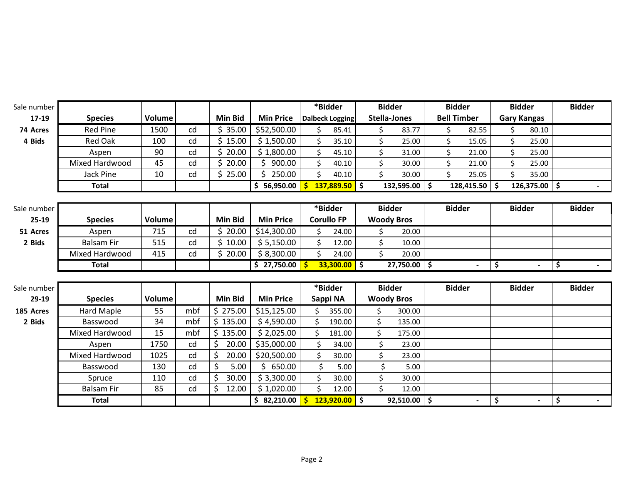| Sale number |                   |        |     |                |                  |     | *Bidder                | <b>Bidder</b> |                           | <b>Bidder</b>      |                | <b>Bidder</b>      |       | <b>Bidder</b> |
|-------------|-------------------|--------|-----|----------------|------------------|-----|------------------------|---------------|---------------------------|--------------------|----------------|--------------------|-------|---------------|
| 17-19       | <b>Species</b>    | Volume |     | <b>Min Bid</b> | <b>Min Price</b> |     | <b>Dalbeck Logging</b> |               | <b>Stella-Jones</b>       | <b>Bell Timber</b> |                | <b>Gary Kangas</b> |       |               |
| 74 Acres    | <b>Red Pine</b>   | 1500   | cd  | \$35.00        | \$52,500.00      | \$  | 85.41                  | \$            | 83.77                     | \$                 | 82.55          | \$                 | 80.10 |               |
| 4 Bids      | <b>Red Oak</b>    | 100    | cd  | 15.00<br>Ś.    | \$1,500.00       | \$  | 35.10                  | \$            | 25.00                     | \$                 | 15.05          | \$                 | 25.00 |               |
|             | Aspen             | 90     | cd  | Ś.<br>20.00    | \$1,800.00       | \$  | 45.10                  | \$            | 31.00                     | \$                 | 21.00          | \$                 | 25.00 |               |
|             | Mixed Hardwood    | 45     | cd  | 20.00          | 900.00<br>Š.     | \$  | 40.10                  | \$            | 30.00                     | \$                 | 21.00          | \$                 | 25.00 |               |
|             | Jack Pine         | 10     | cd  | \$25.00        | \$<br>250.00     | \$  | 40.10                  | Ś.            | 30.00                     | \$                 | 25.05          | \$                 | 35.00 |               |
|             | <b>Total</b>      |        |     |                | \$56,950.00      | -\$ | $137,889.50$ \$        |               | $132,595.00$ \$           | $128,415.50$ \$    |                | $126,375.00$ \$    |       | $\sim$        |
|             |                   |        |     |                |                  |     |                        |               |                           |                    |                |                    |       |               |
| Sale number |                   |        |     |                |                  |     | *Bidder                | <b>Bidder</b> |                           | <b>Bidder</b>      |                | <b>Bidder</b>      |       | <b>Bidder</b> |
| $25-19$     | <b>Species</b>    | Volume |     | <b>Min Bid</b> | <b>Min Price</b> |     | <b>Corullo FP</b>      |               | <b>Woody Bros</b>         |                    |                |                    |       |               |
| 51 Acres    | Aspen             | 715    | cd  | \$20.00        | \$14,300.00      | \$  | 24.00                  | Ś.            | 20.00                     |                    |                |                    |       |               |
| 2 Bids      | <b>Balsam Fir</b> | 515    | cd  | 10.00          | \$5,150.00       | \$  | 12.00                  | Ś.            | 10.00                     |                    |                |                    |       |               |
|             | Mixed Hardwood    | 415    | cd  | \$20.00        | \$8,300.00       | \$  | 24.00                  | Ś.            | 20.00                     |                    |                |                    |       |               |
|             | <b>Total</b>      |        |     |                | \$27,750.00      |     | $33,300.00$ \$         |               | $\overline{27,750.00}$ \$ |                    | $\blacksquare$ | \$                 |       | \$            |
|             |                   |        |     |                |                  |     |                        |               |                           |                    |                |                    |       |               |
| Sale number |                   |        |     |                |                  |     | *Bidder                | <b>Bidder</b> |                           | <b>Bidder</b>      |                | <b>Bidder</b>      |       | <b>Bidder</b> |
| $29-19$     | <b>Species</b>    | Volume |     | <b>Min Bid</b> | <b>Min Price</b> |     | Sappi NA               |               | <b>Woody Bros</b>         |                    |                |                    |       |               |
| 185 Acres   | <b>Hard Maple</b> | 55     | mbf | \$275.00       | \$15,125.00      | \$  | 355.00                 | \$            | 300.00                    |                    |                |                    |       |               |
| 2 Bids      | Basswood          | 34     | mbf | \$135.00       | \$4,590.00       | Ś.  | 190.00                 | \$            | 135.00                    |                    |                |                    |       |               |
|             | Mixed Hardwood    | 15     | mbf | \$135.00       | \$2,025.00       | \$  | 181.00                 | Ś.            | 175.00                    |                    |                |                    |       |               |
|             | Aspen             | 1750   | cd  | \$<br>20.00    | \$35,000.00      | \$  | 34.00                  | \$            | 23.00                     |                    |                |                    |       |               |
|             | Mixed Hardwood    | 1025   | cd  | \$<br>20.00    | \$20,500.00      | \$  | 30.00                  | \$            | 23.00                     |                    |                |                    |       |               |
|             | Basswood          | 130    | cd  | Ś<br>5.00      | \$<br>650.00     | \$  | 5.00                   | \$            | 5.00                      |                    |                |                    |       |               |
|             | Spruce            | 110    | cd  | \$<br>30.00    | \$3,300.00       | \$  | 30.00                  | \$            | 30.00                     |                    |                |                    |       |               |
|             | <b>Balsam Fir</b> | 85     | cd  | \$<br>12.00    | \$1,020.00       | \$  | 12.00                  | Ś.            | 12.00                     |                    |                |                    |       |               |
|             | <b>Total</b>      |        |     |                | \$2,210.00       |     | $123,920.00$ \$        |               | $92,510.00$ \$            |                    | $\blacksquare$ | \$                 |       | \$            |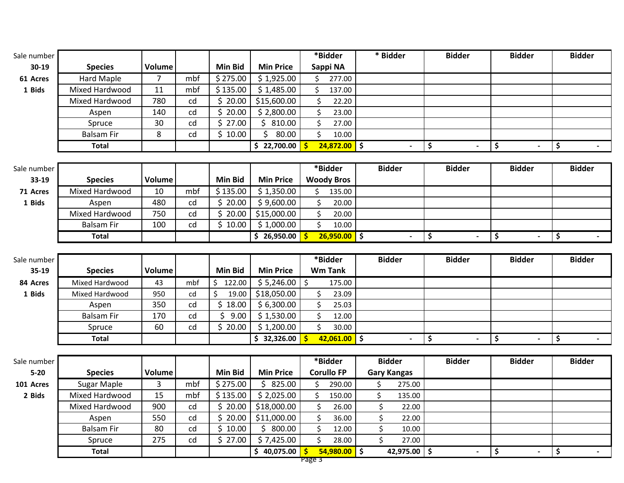| Sale number |                   |        |     |                |                  | *Bidder        |        | * Bidder      | <b>Bidder</b> | <b>Bidder</b>            | <b>Bidder</b> |
|-------------|-------------------|--------|-----|----------------|------------------|----------------|--------|---------------|---------------|--------------------------|---------------|
| $30-19$     | <b>Species</b>    | Volume |     | <b>Min Bid</b> | <b>Min Price</b> | Sappi NA       |        |               |               |                          |               |
| 61 Acres    | Hard Maple        |        | mbf | \$275.00       | \$1,925.00       |                | 277.00 |               |               |                          |               |
| 1 Bids      | Mixed Hardwood    | 11     | mbf | \$135.00       | \$1,485.00       |                | 137.00 |               |               |                          |               |
|             | Mixed Hardwood    | 780    | cd  | \$20.00        | \$15,600.00      |                | 22.20  |               |               |                          |               |
|             | Aspen             | 140    | cd  | 20.00          | \$2,800.00       |                | 23.00  |               |               |                          |               |
|             | Spruce            | 30     | cd  | \$27.00        | 810.00           |                | 27.00  |               |               |                          |               |
|             | <b>Balsam Fir</b> | 8      | cd  | \$10.00        | 80.00            |                | 10.00  |               |               |                          |               |
|             | Total             |        |     |                | 22,700.00<br>S.  | $24,872.00$ \$ |        |               | $\sim$        | $\overline{\phantom{0}}$ |               |
|             |                   |        |     |                |                  |                |        |               |               |                          |               |
| Sale number |                   |        |     |                |                  | *Bidder        |        | <b>Bidder</b> | <b>Bidder</b> | <b>Bidder</b>            | <b>Bidder</b> |

| $33-19$  | <b>Species</b>    | Volume |     | Min Bid                  | <b>Min Price</b> | <b>Woody Bros</b> |        |   |  |  |
|----------|-------------------|--------|-----|--------------------------|------------------|-------------------|--------|---|--|--|
| 71 Acres | Mixed Hardwood    | 10     | mbf | \$135.00                 | \$1,350.00       |                   | 135.00 |   |  |  |
| 1 Bids   | Aspen             | 480    | cd  | .20.00                   | \$9,600.00       |                   | 20.00  |   |  |  |
|          | Mixed Hardwood    | 750    | cd  | $\hat{ }$ 20.00   $\Box$ | \$15,000.00      |                   | 20.00  |   |  |  |
|          | <b>Balsam Fir</b> | 100    | cd  | 10.00                    | \$1,000.00       |                   | 10.00  |   |  |  |
|          | <b>Total</b>      |        |     |                          | 26,950.00        | $26,950.00$ \$    |        | - |  |  |

| Sale number |                   |               |     |         |                  | *Bidder        | <b>Bidder</b> | <b>Bidder</b> | <b>Bidder</b>            | <b>Bidder</b> |
|-------------|-------------------|---------------|-----|---------|------------------|----------------|---------------|---------------|--------------------------|---------------|
| $35-19$     | <b>Species</b>    | <b>Volume</b> |     | Min Bid | <b>Min Price</b> | <b>Wm Tank</b> |               |               |                          |               |
| 84 Acres    | Mixed Hardwood    | 43            | mbf | 122.00  | $$5,246.00$ $$$  | 175.00         |               |               |                          |               |
| 1 Bids      | Mixed Hardwood    | 950           | cd  | 19.00   | \$18,050.00      | 23.09          |               |               |                          |               |
|             | Aspen             | 350           | cd  | 18.00   | \$6,300.00       | 25.03          |               |               |                          |               |
|             | <b>Balsam Fir</b> | 170           | cd  | 9.00    | \$1,530.00       | 12.00          |               |               |                          |               |
|             | Spruce            | 60            | cd  | 20.00   | \$1,200.00       | 30.00          |               |               |                          |               |
|             | <b>Total</b>      |               |     |         | 32,326.00 $ $    | 42,061.00 \$   |               | $\sim$        | $\overline{\phantom{0}}$ |               |

| Sale number |                   |        |     |                |                     |     | *Bidder           | <b>Bidder</b>      | <b>Bidder</b>            | <b>Bidder</b>            | <b>Bidder</b> |
|-------------|-------------------|--------|-----|----------------|---------------------|-----|-------------------|--------------------|--------------------------|--------------------------|---------------|
| $5-20$      | <b>Species</b>    | Volume |     | <b>Min Bid</b> | <b>Min Price</b>    |     | <b>Corullo FP</b> | <b>Gary Kangas</b> |                          |                          |               |
| 101 Acres   | Sugar Maple       |        | mbf | \$275.00       | 825.00              |     | 290.00            | 275.00             |                          |                          |               |
| 2 Bids      | Mixed Hardwood    | 15     | mbf | \$135.00       | \$2,025.00          |     | 150.00            | 135.00             |                          |                          |               |
|             | Mixed Hardwood    | 900    | cd  |                | 20.00 \$18,000.00   |     | 26.00             | 22.00              |                          |                          |               |
|             | Aspen             | 550    | cd  |                | 20.00   \$11,000.00 |     | 36.00             | 22.00              |                          |                          |               |
|             | <b>Balsam Fir</b> | 80     | cd  | 10.00          | 800.00              |     | 12.00             | 10.00              |                          |                          |               |
|             | Spruce            | 275    | cd  | 27.00          | \$7,425.00          |     | 28.00             | 27.00              |                          |                          |               |
|             | Total             |        |     |                | 40,075.00           | $-$ | $54,980.00$ \$    | 42,975.00          | $\overline{\phantom{0}}$ | $\overline{\phantom{a}}$ |               |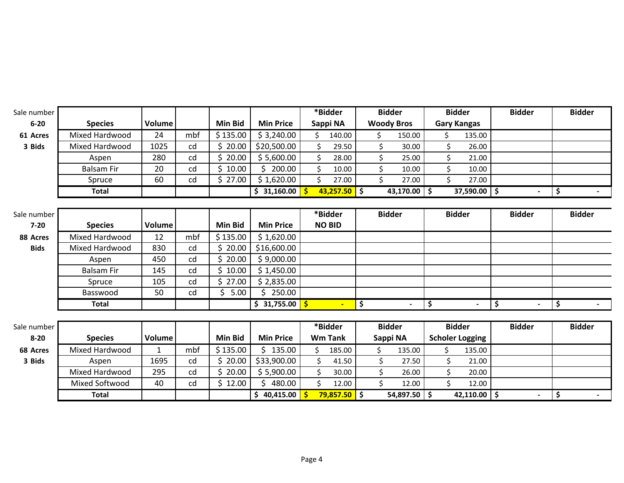| Sale number |                       |               |     |                |                  | *Bidder               |    | <b>Bidder</b>     | <b>Bidder</b>          | <b>Bidder</b>                      | <b>Bidder</b> |                  |
|-------------|-----------------------|---------------|-----|----------------|------------------|-----------------------|----|-------------------|------------------------|------------------------------------|---------------|------------------|
| $6 - 20$    | <b>Species</b>        | Volume        |     | <b>Min Bid</b> | <b>Min Price</b> | Sappi NA              |    | <b>Woody Bros</b> | <b>Gary Kangas</b>     |                                    |               |                  |
| 61 Acres    | Mixed Hardwood        | 24            | mbf | \$135.00       | \$3,240.00       | 140.00<br>\$          |    | 150.00<br>\$.     | 135.00<br>Ś.           |                                    |               |                  |
| 3 Bids      | <b>Mixed Hardwood</b> | 1025          | cd  | \$20.00        | \$20,500.00      | \$<br>29.50           |    | \$<br>30.00       | \$<br>26.00            |                                    |               |                  |
|             | Aspen                 | 280           | cd  | Ś.<br>20.00    | \$5,600.00       | \$<br>28.00           |    | \$<br>25.00       | \$<br>21.00            |                                    |               |                  |
|             | <b>Balsam Fir</b>     | 20            | cd  | Ś.<br>10.00    | \$200.00         | \$<br>10.00           |    | \$<br>10.00       | \$<br>10.00            |                                    |               |                  |
|             | Spruce                | 60            | cd  | \$27.00        | \$1,620.00       | \$<br>27.00           |    | \$<br>27.00       | \$<br>27.00            |                                    |               |                  |
|             | <b>Total</b>          |               |     |                | \$31,160.00      | $43,257.50$ \$        |    | $43,170.00$ \$    | $37,590.00$ \$         |                                    | \$            |                  |
|             |                       |               |     |                |                  |                       |    |                   |                        |                                    |               |                  |
| Sale number |                       |               |     |                |                  | *Bidder               |    | <b>Bidder</b>     | <b>Bidder</b>          | <b>Bidder</b>                      | <b>Bidder</b> |                  |
| $7 - 20$    | <b>Species</b>        | <b>Volume</b> |     | <b>Min Bid</b> | <b>Min Price</b> | <b>NO BID</b>         |    |                   |                        |                                    |               |                  |
| 88 Acres    | <b>Mixed Hardwood</b> | 12            | mbf | \$135.00       | \$1,620.00       |                       |    |                   |                        |                                    |               |                  |
| <b>Bids</b> | Mixed Hardwood        | 830           | cd  | \$20.00        | \$16,600.00      |                       |    |                   |                        |                                    |               |                  |
|             | Aspen                 | 450           | cd  | Ś.<br>20.00    | \$9,000.00       |                       |    |                   |                        |                                    |               |                  |
|             | <b>Balsam Fir</b>     | 145           | cd  | \$10.00        | \$1,450.00       |                       |    |                   |                        |                                    |               |                  |
|             | Spruce                | 105           | cd  | Ś.<br>27.00    | \$2,835.00       |                       |    |                   |                        |                                    |               |                  |
|             | Basswood              | 50            | cd  | \$<br>5.00     | 250.00<br>Š.     |                       |    |                   |                        |                                    |               |                  |
|             | <b>Total</b>          |               |     |                | \$31,755.00      | $\blacksquare$        | \$ | $\sim$            | \$<br>$\blacksquare$   | $\vert \mathsf{s} \vert$<br>$\sim$ | \$            | $\sim$ 100 $\mu$ |
|             |                       |               |     |                |                  |                       |    |                   |                        |                                    |               |                  |
| Sale number |                       |               |     |                |                  | *Bidder               |    | <b>Bidder</b>     | <b>Bidder</b>          | <b>Bidder</b>                      | <b>Bidder</b> |                  |
| $8 - 20$    | <b>Species</b>        | <b>Volume</b> |     | <b>Min Bid</b> | <b>Min Price</b> | <b>Wm Tank</b>        |    | Sappi NA          | <b>Scholer Logging</b> |                                    |               |                  |
| 68 Acres    | Mixed Hardwood        | $\mathbf{1}$  | mbf | \$135.00       | \$135.00         | \$<br>185.00          | \$ | 135.00            | \$<br>135.00           |                                    |               |                  |
| 3 Bids      | Aspen                 | 1695          | cd  | \$20.00        | \$33,900.00      | \$<br>41.50           |    | \$<br>27.50       | \$<br>21.00            |                                    |               |                  |
|             | <b>Mixed Hardwood</b> | 295           | cd  | Ś.<br>20.00    | \$5,900.00       | \$<br>30.00           |    | Ś.<br>26.00       | Ś<br>20.00             |                                    |               |                  |
|             | Mixed Softwood        | 40            | cd  | \$12.00        | Ś.<br>480.00     | \$<br>12.00           |    | Ś.<br>12.00       | Ś.<br>12.00            |                                    |               |                  |
|             | <b>Total</b>          |               |     |                | \$40,415.00      | $79,857.50$ \$<br>-\$ |    | 54,897.50 \$      | 42,110.00 $\vert$ \$   | $\blacksquare$                     | \$            | $\sim$           |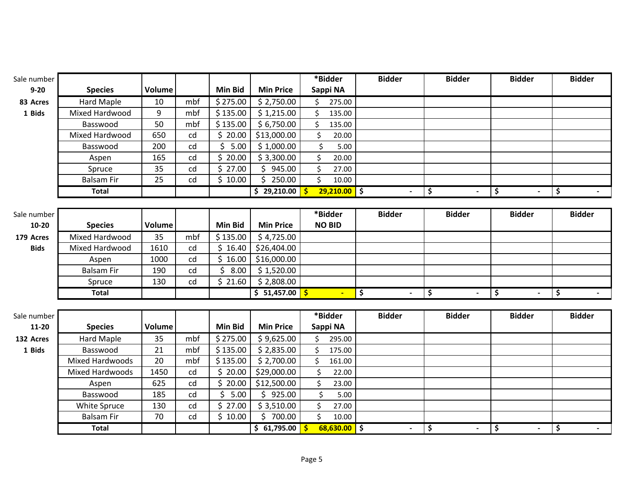| Sale number |                        |        |     |                |                  | *Bidder         | <b>Bidder</b>  | <b>Bidder</b>        | <b>Bidder</b>        | <b>Bidder</b> |
|-------------|------------------------|--------|-----|----------------|------------------|-----------------|----------------|----------------------|----------------------|---------------|
| $9 - 20$    | <b>Species</b>         | Volume |     | <b>Min Bid</b> | <b>Min Price</b> | Sappi NA        |                |                      |                      |               |
| 83 Acres    | Hard Maple             | 10     | mbf | \$275.00       | \$2,750.00       | \$<br>275.00    |                |                      |                      |               |
| 1 Bids      | Mixed Hardwood         | 9      | mbf | \$135.00       | \$1,215.00       | Ś.<br>135.00    |                |                      |                      |               |
|             | Basswood               | 50     | mbf | \$135.00       | \$6,750.00       | \$<br>135.00    |                |                      |                      |               |
|             | Mixed Hardwood         | 650    | cd  | \$20.00        | \$13,000.00      | \$<br>20.00     |                |                      |                      |               |
|             | Basswood               | 200    | cd  | 5.00<br>\$     | \$1,000.00       | $\zeta$<br>5.00 |                |                      |                      |               |
|             | Aspen                  | 165    | cd  | \$20.00        | \$3,300.00       | \$<br>20.00     |                |                      |                      |               |
|             | Spruce                 | 35     | cd  | \$<br>27.00    | 945.00<br>\$.    | \$<br>27.00     |                |                      |                      |               |
|             | <b>Balsam Fir</b>      | 25     | cd  | \$10.00        | 250.00<br>\$     | \$<br>10.00     |                |                      |                      |               |
|             | <b>Total</b>           |        |     |                | \$29,210.00      | $29,210.00$ \$  | $\blacksquare$ | \$<br>$\overline{a}$ | \$<br>$\blacksquare$ | \$            |
|             |                        |        |     |                |                  |                 |                |                      |                      |               |
| Sale number |                        |        |     |                |                  | *Bidder         | <b>Bidder</b>  | <b>Bidder</b>        | <b>Bidder</b>        | <b>Bidder</b> |
| $10 - 20$   | <b>Species</b>         | Volume |     | <b>Min Bid</b> | <b>Min Price</b> | <b>NO BID</b>   |                |                      |                      |               |
| 179 Acres   | Mixed Hardwood         | 35     | mbf | \$135.00       | \$4,725.00       |                 |                |                      |                      |               |
| <b>Bids</b> | Mixed Hardwood         | 1610   | cd  | \$16.40        | \$26,404.00      |                 |                |                      |                      |               |
|             | Aspen                  | 1000   | cd  | \$16.00        | \$16,000.00      |                 |                |                      |                      |               |
|             | <b>Balsam Fir</b>      | 190    | cd  | \$<br>8.00     | \$1,520.00       |                 |                |                      |                      |               |
|             | Spruce                 | 130    | cd  | \$21.60        | \$2,808.00       |                 |                |                      |                      |               |
|             | <b>Total</b>           |        |     |                | \$51,457.00      | $\blacksquare$  | \$<br>$\sim$   | \$<br>$\blacksquare$ | \$<br>$\blacksquare$ | \$            |
|             |                        |        |     |                |                  |                 |                |                      |                      |               |
| Sale number |                        |        |     |                |                  | *Bidder         | <b>Bidder</b>  | <b>Bidder</b>        | <b>Bidder</b>        | <b>Bidder</b> |
| 11-20       | <b>Species</b>         | Volume |     | <b>Min Bid</b> | <b>Min Price</b> | Sappi NA        |                |                      |                      |               |
| 132 Acres   | <b>Hard Maple</b>      | 35     | mbf | \$275.00       | \$9,625.00       | \$<br>295.00    |                |                      |                      |               |
| 1 Bids      | Basswood               | 21     | mbf | \$135.00       | \$2,835.00       | \$<br>175.00    |                |                      |                      |               |
|             | <b>Mixed Hardwoods</b> | 20     | mbf | \$135.00       | \$2,700.00       | \$<br>161.00    |                |                      |                      |               |
|             | <b>Mixed Hardwoods</b> | 1450   | cd  | \$20.00        | \$29,000.00      | \$<br>22.00     |                |                      |                      |               |
|             | Aspen                  | 625    | cd  | \$<br>20.00    | \$12,500.00      | \$<br>23.00     |                |                      |                      |               |
|             | Basswood               | 185    | cd  | \$<br>5.00     | \$925.00         | \$<br>5.00      |                |                      |                      |               |
|             | White Spruce           | 130    | cd  | \$27.00        | \$3,510.00       | \$<br>27.00     |                |                      |                      |               |
|             | <b>Balsam Fir</b>      | 70     | cd  | \$10.00        | \$700.00         | \$<br>10.00     |                |                      |                      |               |
|             | <b>Total</b>           |        |     |                | \$61,795.00      | $68,630.00$ \$  | $\blacksquare$ | \$<br>$\blacksquare$ | \$<br>$\blacksquare$ | \$<br>$\sim$  |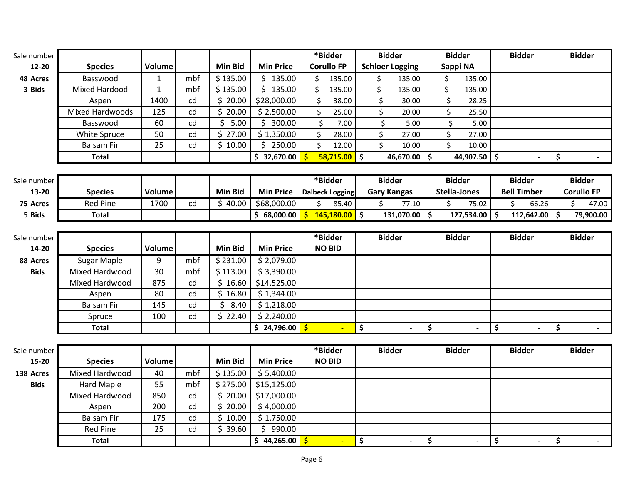| Sale number |                        |               |     |                |                       | *Bidder                |                 |                          | <b>Bidder</b>          |       |                                 | <b>Bidder</b> |                                 | <b>Bidder</b>      |                                 | <b>Bidder</b>     |
|-------------|------------------------|---------------|-----|----------------|-----------------------|------------------------|-----------------|--------------------------|------------------------|-------|---------------------------------|---------------|---------------------------------|--------------------|---------------------------------|-------------------|
| 12-20       | <b>Species</b>         | <b>Volume</b> |     | <b>Min Bid</b> | <b>Min Price</b>      | <b>Corullo FP</b>      |                 |                          | <b>Schloer Logging</b> |       |                                 | Sappi NA      |                                 |                    |                                 |                   |
| 48 Acres    | Basswood               | $\mathbf{1}$  | mbf | \$135.00       | \$135.00              | \$                     | 135.00          |                          | \$<br>135.00           |       | \$                              | 135.00        |                                 |                    |                                 |                   |
| 3 Bids      | Mixed Hardood          | $\mathbf{1}$  | mbf | \$135.00       | \$135.00              | \$                     | 135.00          |                          | \$<br>135.00           |       | \$                              | 135.00        |                                 |                    |                                 |                   |
|             | Aspen                  | 1400          | cd  | \$20.00        | \$28,000.00           | \$                     | 38.00           |                          | \$                     | 30.00 | \$                              | 28.25         |                                 |                    |                                 |                   |
|             | <b>Mixed Hardwoods</b> | 125           | cd  | \$<br>20.00    | \$2,500.00            | \$                     | 25.00           |                          | \$                     | 20.00 | \$                              | 25.50         |                                 |                    |                                 |                   |
|             | Basswood               | 60            | cd  | \$<br>5.00     | \$300.00              | \$                     | 7.00            |                          | \$                     | 5.00  | \$                              | 5.00          |                                 |                    |                                 |                   |
|             | White Spruce           | 50            | cd  | \$<br>27.00    | \$1,350.00            | \$                     | 28.00           |                          | \$                     | 27.00 | \$                              | 27.00         |                                 |                    |                                 |                   |
|             | <b>Balsam Fir</b>      | 25            | cd  | \$10.00        | \$250.00              | \$                     | 12.00           |                          | \$                     | 10.00 | \$                              | 10.00         |                                 |                    |                                 |                   |
|             | <b>Total</b>           |               |     |                | \$32,670.00           |                        | $58,715.00$ \$  |                          | $46,670.00$ \$         |       |                                 | 44,907.50 \$  |                                 | $\blacksquare$     | \$                              | $\sim$            |
| Sale number |                        |               |     |                |                       | *Bidder                |                 |                          | <b>Bidder</b>          |       |                                 | <b>Bidder</b> |                                 | <b>Bidder</b>      |                                 | <b>Bidder</b>     |
| 13-20       | <b>Species</b>         | <b>Volume</b> |     | <b>Min Bid</b> | <b>Min Price</b>      | <b>Dalbeck Logging</b> |                 |                          | <b>Gary Kangas</b>     |       |                                 | Stella-Jones  |                                 | <b>Bell Timber</b> |                                 | <b>Corullo FP</b> |
| 75 Acres    | <b>Red Pine</b>        | 1700          | cd  | \$40.00        | \$68,000.00           | \$                     | 85.40           |                          | \$                     | 77.10 | \$                              | 75.02         |                                 | \$<br>66.26        |                                 | 47.00<br>Ś.       |
| 5 Bids      | <b>Total</b>           |               |     |                | \$68,000.00           |                        | $145,180.00$ \$ |                          | $131,070.00$ \$        |       |                                 | 127,534.00 \$ |                                 | $112,642.00$ \$    |                                 | 79,900.00         |
|             |                        |               |     |                |                       |                        |                 |                          |                        |       |                                 |               |                                 |                    |                                 |                   |
| Sale number |                        |               |     |                |                       | *Bidder                |                 |                          | <b>Bidder</b>          |       |                                 | <b>Bidder</b> |                                 | <b>Bidder</b>      |                                 | <b>Bidder</b>     |
| 14-20       | <b>Species</b>         | Volume        |     | <b>Min Bid</b> | <b>Min Price</b>      | <b>NO BID</b>          |                 |                          |                        |       |                                 |               |                                 |                    |                                 |                   |
| 88 Acres    | Sugar Maple            | 9             | mbf | \$231.00       | \$2,079.00            |                        |                 |                          |                        |       |                                 |               |                                 |                    |                                 |                   |
| <b>Bids</b> | Mixed Hardwood         | 30            | mbf | \$113.00       | \$3,390.00            |                        |                 |                          |                        |       |                                 |               |                                 |                    |                                 |                   |
|             | Mixed Hardwood         | 875           | cd  | \$16.60        | \$14,525.00           |                        |                 |                          |                        |       |                                 |               |                                 |                    |                                 |                   |
|             | Aspen                  | 80            | cd  | \$16.80        | \$1,344.00            |                        |                 |                          |                        |       |                                 |               |                                 |                    |                                 |                   |
|             | <b>Balsam Fir</b>      | 145           | cd  | \$<br>8.40     | \$1,218.00            |                        |                 |                          |                        |       |                                 |               |                                 |                    |                                 |                   |
|             | Spruce                 | 100           | cd  | \$22.40        | \$2,240.00            |                        |                 |                          |                        |       |                                 |               |                                 |                    |                                 |                   |
|             | <b>Total</b>           |               |     |                | $\frac{24,796.00}{2}$ | Ŝ.                     |                 | $\overline{\phantom{a}}$ |                        |       | $\overline{\boldsymbol{\zeta}}$ |               | $\overline{\boldsymbol{\zeta}}$ |                    | $\overline{\boldsymbol{\zeta}}$ |                   |
|             |                        |               |     |                |                       |                        |                 |                          |                        |       |                                 |               |                                 |                    |                                 |                   |
| Sale number |                        |               |     |                |                       | *Bidder                |                 |                          | <b>Bidder</b>          |       |                                 | <b>Bidder</b> |                                 | <b>Bidder</b>      |                                 | <b>Bidder</b>     |
| 15-20       | <b>Species</b>         | Volume        |     | <b>Min Bid</b> | <b>Min Price</b>      | <b>NO BID</b>          |                 |                          |                        |       |                                 |               |                                 |                    |                                 |                   |
| 138 Acres   | Mixed Hardwood         | 40            | mbf | \$135.00       | \$5,400.00            |                        |                 |                          |                        |       |                                 |               |                                 |                    |                                 |                   |
| <b>Bids</b> | <b>Hard Maple</b>      | 55            | mbf | \$275.00       | \$15,125.00           |                        |                 |                          |                        |       |                                 |               |                                 |                    |                                 |                   |
|             | Mixed Hardwood         | 850           | cd  | \$20.00        | \$17,000.00           |                        |                 |                          |                        |       |                                 |               |                                 |                    |                                 |                   |
|             | Aspen                  | 200           | cd  | \$<br>20.00    | \$4,000.00            |                        |                 |                          |                        |       |                                 |               |                                 |                    |                                 |                   |
|             | <b>Balsam Fir</b>      | 175           | cd  | \$<br>10.00    | \$1,750.00            |                        |                 |                          |                        |       |                                 |               |                                 |                    |                                 |                   |
|             | <b>Red Pine</b>        | 25            | cd  | \$39.60        | \$990.00              |                        |                 |                          |                        |       |                                 |               |                                 |                    |                                 |                   |
|             | <b>Total</b>           |               |     |                | \$44,265.00           |                        | ÷               | $\ddot{\bm{\zeta}}$      |                        |       | \$                              |               | \$                              |                    | \$                              |                   |